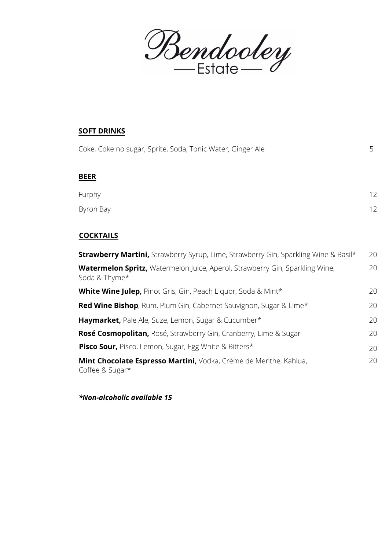Bendooley

## **SOFT DRINKS** Coke, Coke no sugar, Sprite, Soda, Tonic Water, Ginger Ale 5 **BEER** Furphy Byron Bay 12 12 **COCKTAILS Strawberry Martini,** Strawberry Syrup, Lime, Strawberry Gin, Sparkling Wine & Basil\* **Watermelon Spritz,** Watermelon Juice, Aperol, Strawberry Gin, Sparkling Wine, **White Wine Julep,** Pinot Gris, Gin, Peach Liquor, Soda & Mint\* **Red Wine Bishop**, Rum, Plum Gin, Cabernet Sauvignon, Sugar & Lime\* **Haymarket,** Pale Ale, Suze, Lemon, Sugar & Cucumber\* **Rosé Cosmopolitan,** Rosé, Strawberry Gin, Cranberry, Lime & Sugar **Pisco Sour,** Pisco, Lemon, Sugar, Egg White & Bitters\* **Mint Chocolate Espresso Martini,** Vodka, Crème de Menthe, Kahlua, Coffee & Sugar\* 20 20 20 20 20 20 20 20 Soda & Thyme\*

*\*Non-alcoholic available 15*